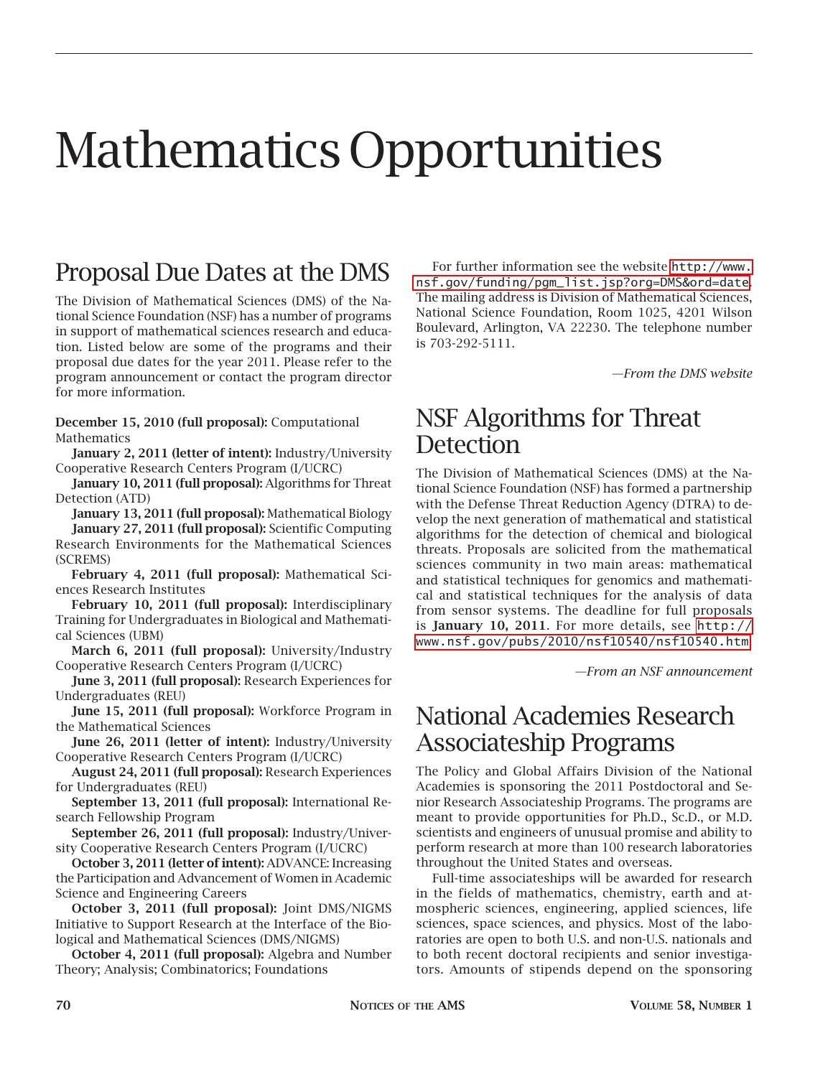# Mathematics Opportunities

## Proposal Due Dates at the DMS

The Division of Mathematical Sciences (DMS) of the National Science Foundation (NSF) has a number of programs in support of mathematical sciences research and education. Listed below are some of the programs and their proposal due dates for the year 2011. Please refer to the program announcement or contact the program director for more information.

**December 15, 2010 (full proposal):** Computational Mathematics

**January 2, 2011 (letter of intent):** Industry/University Cooperative Research Centers Program (I/UCRC)

**January 10, 2011 (full proposal):** Algorithms for Threat Detection (ATD)

**January 13, 2011 (full proposal):** Mathematical Biology **January 27, 2011 (full proposal):** Scientific Computing Research Environments for the Mathematical Sciences (SCREMS)

**February 4, 2011 (full proposal):** Mathematical Sciences Research Institutes

**February 10, 2011 (full proposal):** Interdisciplinary Training for Undergraduates in Biological and Mathematical Sciences (UBM)

**March 6, 2011 (full proposal):** University/Industry Cooperative Research Centers Program (I/UCRC)

**June 3, 2011 (full proposal):** Research Experiences for Undergraduates (REU)

**June 15, 2011 (full proposal):** Workforce Program in the Mathematical Sciences

**June 26, 2011 (letter of intent):** Industry/University Cooperative Research Centers Program (I/UCRC)

**August 24, 2011 (full proposal):** Research Experiences for Undergraduates (REU)

**September 13, 2011 (full proposal):** International Research Fellowship Program

**September 26, 2011 (full proposal):** Industry/University Cooperative Research Centers Program (I/UCRC)

**October 3, 2011 (letter of intent):** ADVANCE: Increasing the Participation and Advancement of Women in Academic Science and Engineering Careers

**October 3, 2011 (full proposal):** Joint DMS/NIGMS Initiative to Support Research at the Interface of the Biological and Mathematical Sciences (DMS/NIGMS)

**October 4, 2011 (full proposal):** Algebra and Number Theory; Analysis; Combinatorics; Foundations

For further information see the website [http://www.](http://www.nsf.gov/funding/pgm_list.jsp?org=DMS&ord-date) [nsf.gov/funding/pgm\\_list.jsp?org=DMS&ord=date](http://www.nsf.gov/funding/pgm_list.jsp?org=DMS&ord-date). The mailing address is Division of Mathematical Sciences, National Science Foundation, Room 1025, 4201 Wilson Boulevard, Arlington, VA 22230. The telephone number is 703-292-5111.

*—From the DMS website*

### NSF Algorithms for Threat **Detection**

The Division of Mathematical Sciences (DMS) at the National Science Foundation (NSF) has formed a partnership with the Defense Threat Reduction Agency (DTRA) to develop the next generation of mathematical and statistical algorithms for the detection of chemical and biological threats. Proposals are solicited from the mathematical sciences community in two main areas: mathematical and statistical techniques for genomics and mathematical and statistical techniques for the analysis of data from sensor systems. The deadline for full proposals is **January 10, 2011**. For more details, see [http://](http://www.nsf.gov/pubs/2010/nsf10540/nsf10540.htm) [www.nsf.gov/pubs/2010/nsf10540/nsf10540.htm](http://www.nsf.gov/pubs/2010/nsf10540/nsf10540.htm).

*—From an NSF announcement*

### National Academies Research Associateship Programs

The Policy and Global Affairs Division of the National Academies is sponsoring the 2011 Postdoctoral and Senior Research Associateship Programs. The programs are meant to provide opportunities for Ph.D., Sc.D., or M.D. scientists and engineers of unusual promise and ability to perform research at more than 100 research laboratories throughout the United States and overseas.

Full-time associateships will be awarded for research in the fields of mathematics, chemistry, earth and atmospheric sciences, engineering, applied sciences, life sciences, space sciences, and physics. Most of the laboratories are open to both U.S. and non-U.S. nationals and to both recent doctoral recipients and senior investigators. Amounts of stipends depend on the sponsoring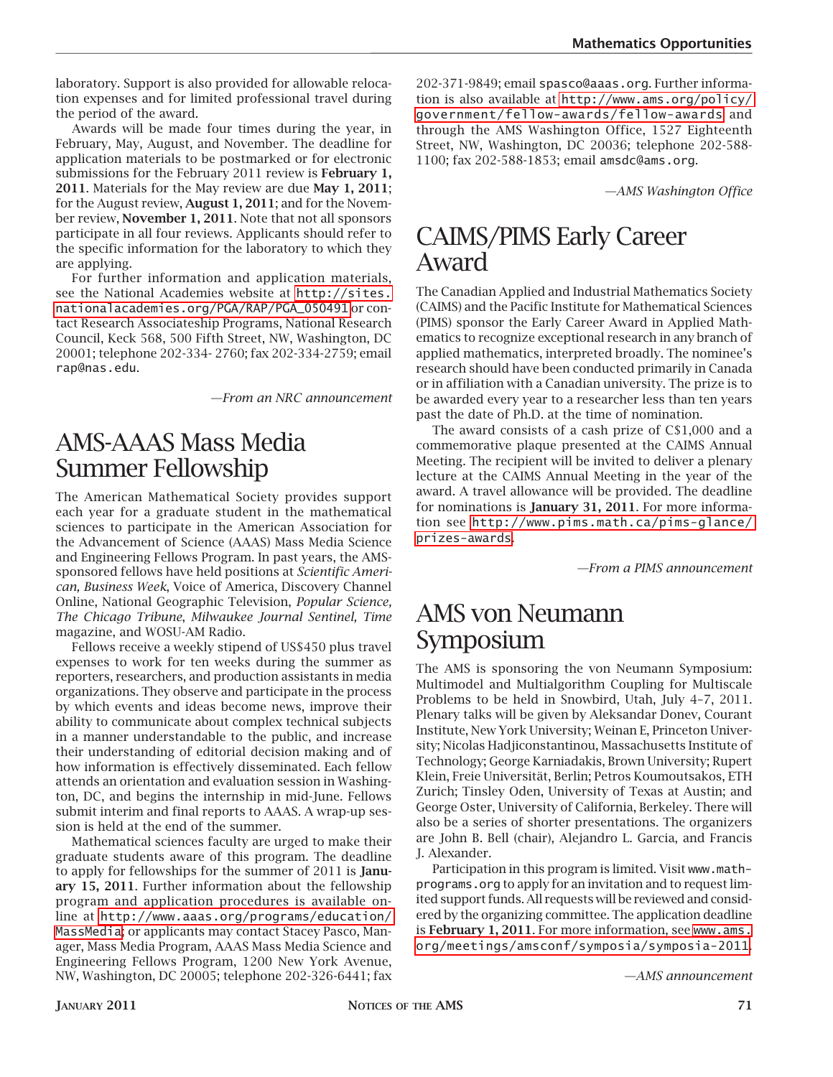laboratory. Support is also provided for allowable relocation expenses and for limited professional travel during the period of the award.

Awards will be made four times during the year, in February, May, August, and November. The deadline for application materials to be postmarked or for electronic submissions for the February 2011 review is **February 1, 2011**. Materials for the May review are due **May 1, 2011**; for the August review, **August 1, 2011**; and for the November review, **November 1, 2011**. Note that not all sponsors participate in all four reviews. Applicants should refer to the specific information for the laboratory to which they are applying.

For further information and application materials, see the National Academies website at [http://sites.](http://sites.nationalacademies.org/PGA/RAP/PGA_050491) [nationalacademies.org/PGA/RAP/PGA\\_050491](http://sites.nationalacademies.org/PGA/RAP/PGA_050491) or contact Research Associateship Programs, National Research Council, Keck 568, 500 Fifth Street, NW, Washington, DC 20001; telephone 202-334- 2760; fax 202-334-2759; email rap@nas.edu.

*—From an NRC announcement*

### AMS-AAAS Mass Media Summer Fellowship

The American Mathematical Society provides support each year for a graduate student in the mathematical sciences to participate in the American Association for the Advancement of Science (AAAS) Mass Media Science and Engineering Fellows Program. In past years, the AMSsponsored fellows have held positions at *Scientific American, Business Week*, Voice of America, Discovery Channel Online, National Geographic Television, *Popular Science, The Chicago Tribune*, *Milwaukee Journal Sentinel, Time* magazine, and WOSU-AM Radio.

Fellows receive a weekly stipend of US\$450 plus travel expenses to work for ten weeks during the summer as reporters, researchers, and production assistants in media organizations. They observe and participate in the process by which events and ideas become news, improve their ability to communicate about complex technical subjects in a manner understandable to the public, and increase their understanding of editorial decision making and of how information is effectively disseminated. Each fellow attends an orientation and evaluation session in Washington, DC, and begins the internship in mid-June. Fellows submit interim and final reports to AAAS. A wrap-up session is held at the end of the summer.

Mathematical sciences faculty are urged to make their graduate students aware of this program. The deadline to apply for fellowships for the summer of 2011 is **January 15, 2011**. Further information about the fellowship program and application procedures is available online at [http://www.aaas.org/programs/education/](http://www.aaas.org/programs/education/MassMedia) [MassMedia](http://www.aaas.org/programs/education/MassMedia); or applicants may contact Stacey Pasco, Manager, Mass Media Program, AAAS Mass Media Science and Engineering Fellows Program, 1200 New York Avenue, NW, Washington, DC 20005; telephone 202-326-6441; fax

202-371-9849; email spasco@aaas.org. Further information is also available at [http://www.ams.org/policy/](http://www.ams.org/policy/government/fellow-awards/fellow-awards) [government/fellow-awards/fellow-awards](http://www.ams.org/policy/government/fellow-awards/fellow-awards) and through the AMS Washington Office, 1527 Eighteenth Street, NW, Washington, DC 20036; telephone 202-588- 1100; fax 202-588-1853; email amsdc@ams.org.

*—AMS Washington Office*

### CAIMS/PIMS Early Career Award

The Canadian Applied and Industrial Mathematics Society (CAIMS) and the Pacific Institute for Mathematical Sciences (PIMS) sponsor the Early Career Award in Applied Mathematics to recognize exceptional research in any branch of applied mathematics, interpreted broadly. The nominee's research should have been conducted primarily in Canada or in affiliation with a Canadian university. The prize is to be awarded every year to a researcher less than ten years past the date of Ph.D. at the time of nomination.

The award consists of a cash prize of C\$1,000 and a commemorative plaque presented at the CAIMS Annual Meeting. The recipient will be invited to deliver a plenary lecture at the CAIMS Annual Meeting in the year of the award. A travel allowance will be provided. The deadline for nominations is **January 31, 2011**. For more information see [http://www.pims.math.ca/pims-glance/](http://www.pims.math.ca/pims-glance/prizes-awards) [prizes-awards](http://www.pims.math.ca/pims-glance/prizes-awards).

*—From a PIMS announcement*

### AMS von Neumann Symposium

The AMS is sponsoring the von Neumann Symposium: Multimodel and Multialgorithm Coupling for Multiscale Problems to be held in Snowbird, Utah, July 4–7, 2011. Plenary talks will be given by Aleksandar Donev, Courant Institute, New York University; Weinan E, Princeton University; Nicolas Hadjiconstantinou, Massachusetts Institute of Technology; George Karniadakis, Brown University; Rupert Klein, Freie Universität, Berlin; Petros Koumoutsakos, ETH Zurich; Tinsley Oden, University of Texas at Austin; and George Oster, University of California, Berkeley. There will also be a series of shorter presentations. The organizers are John B. Bell (chair), Alejandro L. Garcia, and Francis J. Alexander.

Participation in this program is limited. Visit www.mathprograms.org to apply for an invitation and to request limited support funds. All requests will be reviewed and considered by the organizing committee. The application deadline is **February 1, 2011**. For more information, see [www.ams.](http://www.ams.org/meetings/amsconf/symposia/symposia-2011) [org/meetings/amsconf/symposia/symposia-2011](http://www.ams.org/meetings/amsconf/symposia/symposia-2011).

*—AMS announcement*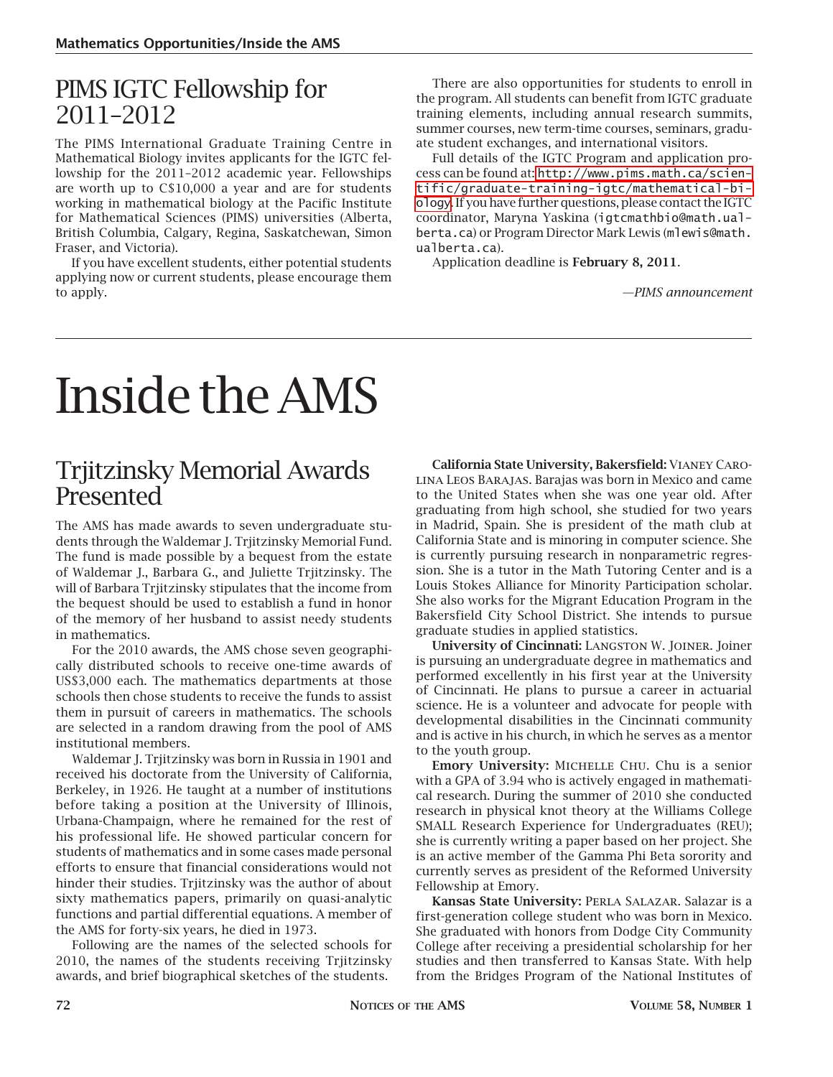### PIMS IGTC Fellowship for 2011–2012

The PIMS International Graduate Training Centre in Mathematical Biology invites applicants for the IGTC fellowship for the 2011–2012 academic year. Fellowships are worth up to C\$10,000 a year and are for students working in mathematical biology at the Pacific Institute for Mathematical Sciences (PIMS) universities (Alberta, British Columbia, Calgary, Regina, Saskatchewan, Simon Fraser, and Victoria).

If you have excellent students, either potential students applying now or current students, please encourage them to apply.

There are also opportunities for students to enroll in the program. All students can benefit from IGTC graduate training elements, including annual research summits, summer courses, new term-time courses, seminars, graduate student exchanges, and international visitors.

Full details of the IGTC Program and application process can be found at: [http://www.pims.math.ca/scien](http://www.pims.math.ca/scientific/graduate-training-igtc/mathematical-biology)[tific/graduate-training-igtc/mathematical-bi](http://www.pims.math.ca/scientific/graduate-training-igtc/mathematical-biology)[ology](http://www.pims.math.ca/scientific/graduate-training-igtc/mathematical-biology). If you have further questions, please contact the IGTC coordinator, Maryna Yaskina (igtcmathbio@math.ualberta.ca) or Program Director Mark Lewis (mlewis@math. ualberta.ca).

Application deadline is **February 8, 2011**.

*—PIMS announcement*

# Inside the AMS

#### Trjitzinsky Memorial Awards Presented

The AMS has made awards to seven undergraduate students through the Waldemar J. Trjitzinsky Memorial Fund. The fund is made possible by a bequest from the estate of Waldemar J., Barbara G., and Juliette Trjitzinsky. The will of Barbara Trjitzinsky stipulates that the income from the bequest should be used to establish a fund in honor of the memory of her husband to assist needy students in mathematics.

For the 2010 awards, the AMS chose seven geographically distributed schools to receive one-time awards of US\$3,000 each. The mathematics departments at those schools then chose students to receive the funds to assist them in pursuit of careers in mathematics. The schools are selected in a random drawing from the pool of AMS institutional members.

Waldemar J. Trjitzinsky was born in Russia in 1901 and received his doctorate from the University of California, Berkeley, in 1926. He taught at a number of institutions before taking a position at the University of Illinois, Urbana-Champaign, where he remained for the rest of his professional life. He showed particular concern for students of mathematics and in some cases made personal efforts to ensure that financial considerations would not hinder their studies. Trjitzinsky was the author of about sixty mathematics papers, primarily on quasi-analytic functions and partial differential equations. A member of the AMS for forty-six years, he died in 1973.

Following are the names of the selected schools for 2010, the names of the students receiving Trjitzinsky awards, and brief biographical sketches of the students.

**California State University, Bakersfield:** Vianey Carolina Leos Barajas. Barajas was born in Mexico and came to the United States when she was one year old. After graduating from high school, she studied for two years in Madrid, Spain. She is president of the math club at California State and is minoring in computer science. She is currently pursuing research in nonparametric regression. She is a tutor in the Math Tutoring Center and is a Louis Stokes Alliance for Minority Participation scholar. She also works for the Migrant Education Program in the Bakersfield City School District. She intends to pursue graduate studies in applied statistics.

**University of Cincinnati:** Langston W. Joiner. Joiner is pursuing an undergraduate degree in mathematics and performed excellently in his first year at the University of Cincinnati. He plans to pursue a career in actuarial science. He is a volunteer and advocate for people with developmental disabilities in the Cincinnati community and is active in his church, in which he serves as a mentor to the youth group.

Emory University: MICHELLE CHU. Chu is a senior with a GPA of 3.94 who is actively engaged in mathematical research. During the summer of 2010 she conducted research in physical knot theory at the Williams College SMALL Research Experience for Undergraduates (REU); she is currently writing a paper based on her project. She is an active member of the Gamma Phi Beta sorority and currently serves as president of the Reformed University Fellowship at Emory.

**Kansas State University:** Perla Salazar. Salazar is a first-generation college student who was born in Mexico. She graduated with honors from Dodge City Community College after receiving a presidential scholarship for her studies and then transferred to Kansas State. With help from the Bridges Program of the National Institutes of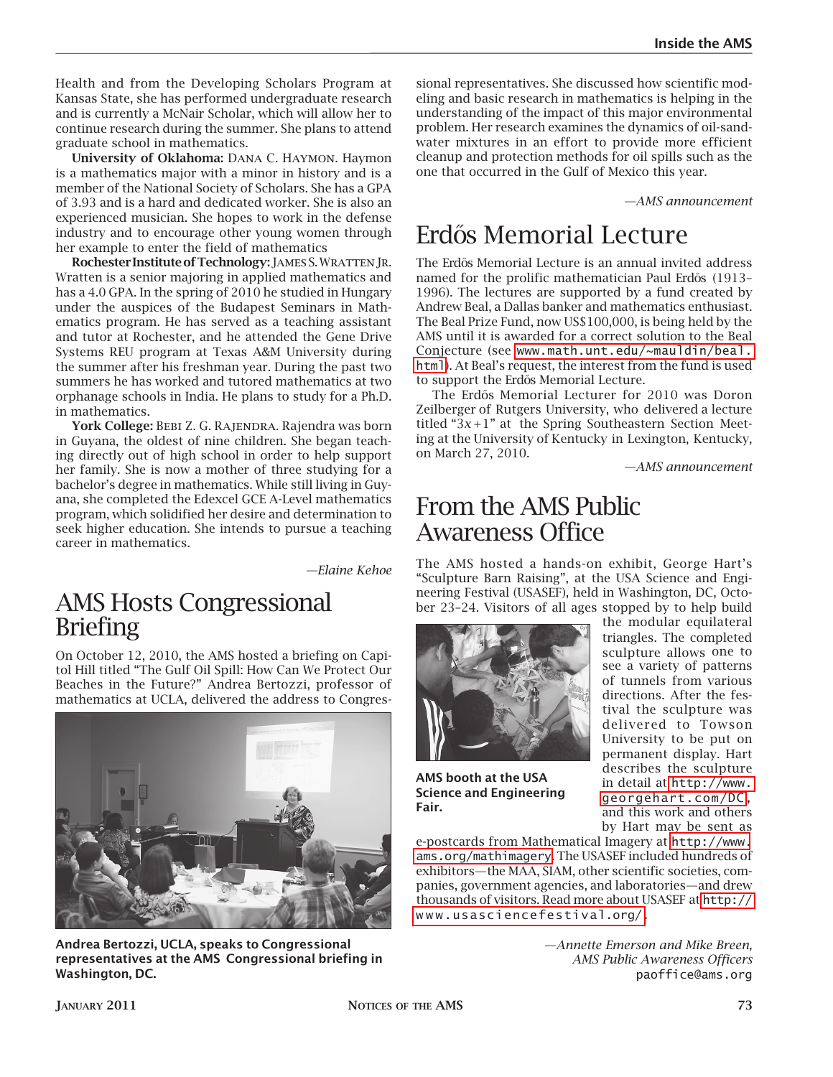Health and from the Developing Scholars Program at Kansas State, she has performed undergraduate research and is currently a McNair Scholar, which will allow her to continue research during the summer. She plans to attend graduate school in mathematics.

**University of Oklahoma:** Dana C. Haymon. Haymon is a mathematics major with a minor in history and is a member of the National Society of Scholars. She has a GPA of 3.93 and is a hard and dedicated worker. She is also an experienced musician. She hopes to work in the defense industry and to encourage other young women through her example to enter the field of mathematics

**Rochester Institute of Technology:** James S. Wratten Jr. Wratten is a senior majoring in applied mathematics and has a 4.0 GPA. In the spring of 2010 he studied in Hungary under the auspices of the Budapest Seminars in Mathematics program. He has served as a teaching assistant and tutor at Rochester, and he attended the Gene Drive Systems REU program at Texas A&M University during the summer after his freshman year. During the past two summers he has worked and tutored mathematics at two orphanage schools in India. He plans to study for a Ph.D. in mathematics.

**York College:** Bebi Z. G. Rajendra. Rajendra was born in Guyana, the oldest of nine children. She began teaching directly out of high school in order to help support her family. She is now a mother of three studying for a bachelor's degree in mathematics. While still living in Guyana, she completed the Edexcel GCE A-Level mathematics program, which solidified her desire and determination to seek higher education. She intends to pursue a teaching career in mathematics.

*—Elaine Kehoe*

#### AMS Hosts Congressional Briefing

On October 12, 2010, the AMS hosted a briefing on Capitol Hill titled "The Gulf Oil Spill: How Can We Protect Our Beaches in the Future?" Andrea Bertozzi, professor of mathematics at UCLA, delivered the address to Congres-



**Andrea Bertozzi, UCLA, speaks to Congressional representatives at the AMS Congressional briefing in Washington, DC.**

sional representatives. She discussed how scientific modeling and basic research in mathematics is helping in the understanding of the impact of this major environmental problem. Her research examines the dynamics of oil-sandwater mixtures in an effort to provide more efficient cleanup and protection methods for oil spills such as the one that occurred in the Gulf of Mexico this year.

*—AMS announcement*

# Erdős Memorial Lecture

The Erdős Memorial Lecture is an annual invited address named for the prolific mathematician Paul Erdős (1913– 1996). The lectures are supported by a fund created by Andrew Beal, a Dallas banker and mathematics enthusiast. The Beal Prize Fund, now US\$100,000, is being held by the AMS until it is awarded for a correct solution to the Beal Conjecture (see [www.math.unt.edu/~mauldin/beal.](http://www.math.unt.edu/~mauldin/beal.html) [html](http://www.math.unt.edu/~mauldin/beal.html)). At Beal's request, the interest from the fund is used to support the Erdős Memorial Lecture.

The Erdős Memorial Lecturer for 2010 was Doron Zeilberger of Rutgers University, who delivered a lecture titled " $3x + 1$ " at the Spring Southeastern Section Meeting at the University of Kentucky in Lexington, Kentucky, on March 27, 2010.

*—AMS announcement*

### From the AMS Public Awareness Office

The AMS hosted a hands-on exhibit, George Hart's "Sculpture Barn Raising", at the USA Science and Engineering Festival (USASEF), held in Washington, DC, October 23–24. Visitors of all ages stopped by to help build



**AMS booth at the USA Science and Engineering Fair.**

the modular equilateral triangles. The completed sculpture allows one to see a variety of patterns of tunnels from various directions. After the festival the sculpture was delivered to Towson University to be put on permanent display. Hart describes the sculpture in detail at [http://www.](http://www.georgehart.com/DC) [georgehart.com/DC,](http://www.georgehart.com/DC) and this work and others by Hart may be sent as

e-postcards from Mathematical Imagery at [http://www.](http://www.ams.org/mathimagery) [ams.org/mathimagery](http://www.ams.org/mathimagery). The USASEF included hundreds of exhibitors—the MAA, SIAM, other scientific societies, companies, government agencies, and laboratories—and drew thousands of visitors. Read more about USASEF at [http://](http://www.usasciencefestival.org/) [www.usasciencefestival.org/.](http://www.usasciencefestival.org/)

> *—Annette Emerson and Mike Breen, AMS Public Awareness Officers* paoffice@ams.org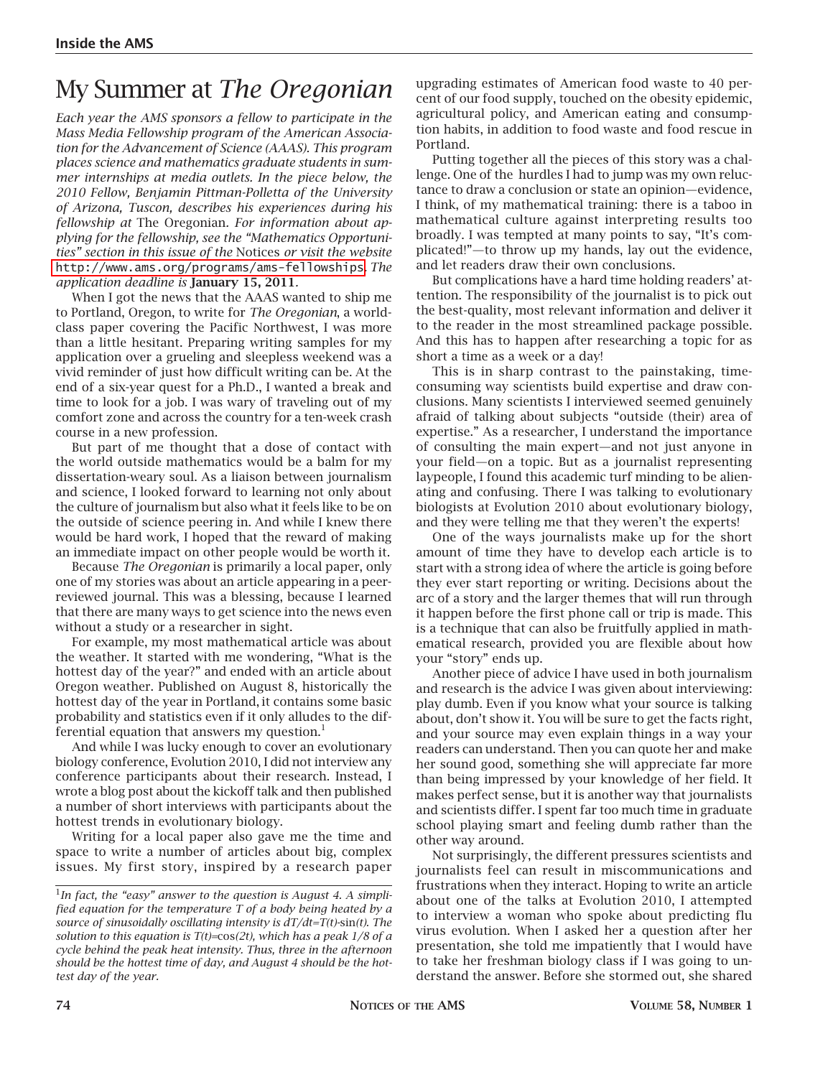# My Summer at *The Oregonian*

*Each year the AMS sponsors a fellow to participate in the Mass Media Fellowship program of the American Association for the Advancement of Science (AAAS). This program places science and mathematics graduate students in summer internships at media outlets. In the piece below, the 2010 Fellow, Benjamin Pittman-Polletta of the University of Arizona, Tuscon, describes his experiences during his fellowship at* The Oregonian*. For information about applying for the fellowship, see the "Mathematics Opportunities" section in this issue of the* Notices *or visit the website*  <http://www.ams.org/programs/ams-fellowships>*. The application deadline is* **January 15, 2011***.*

When I got the news that the AAAS wanted to ship me to Portland, Oregon, to write for *The Oregonian*, a worldclass paper covering the Pacific Northwest, I was more than a little hesitant. Preparing writing samples for my application over a grueling and sleepless weekend was a vivid reminder of just how difficult writing can be. At the end of a six-year quest for a Ph.D., I wanted a break and time to look for a job. I was wary of traveling out of my comfort zone and across the country for a ten-week crash course in a new profession.

But part of me thought that a dose of contact with the world outside mathematics would be a balm for my dissertation-weary soul. As a liaison between journalism and science, I looked forward to learning not only about the culture of journalism but also what it feels like to be on the outside of science peering in. And while I knew there would be hard work, I hoped that the reward of making an immediate impact on other people would be worth it.

Because *The Oregonian* is primarily a local paper, only one of my stories was about an article appearing in a peerreviewed journal. This was a blessing, because I learned that there are many ways to get science into the news even without a study or a researcher in sight.

For example, my most mathematical article was about the weather. It started with me wondering, "What is the hottest day of the year?" and ended with an article about Oregon weather. Published on August 8, historically the hottest day of the year in Portland, it contains some basic probability and statistics even if it only alludes to the differential equation that answers my question. $<sup>1</sup>$ </sup>

And while I was lucky enough to cover an evolutionary biology conference, Evolution 2010, I did not interview any conference participants about their research. Instead, I wrote a blog post about the kickoff talk and then published a number of short interviews with participants about the hottest trends in evolutionary biology.

Writing for a local paper also gave me the time and space to write a number of articles about big, complex issues. My first story, inspired by a research paper upgrading estimates of American food waste to 40 percent of our food supply, touched on the obesity epidemic, agricultural policy, and American eating and consumption habits, in addition to food waste and food rescue in Portland.

Putting together all the pieces of this story was a challenge. One of the hurdles I had to jump was my own reluctance to draw a conclusion or state an opinion—evidence, I think, of my mathematical training: there is a taboo in mathematical culture against interpreting results too broadly. I was tempted at many points to say, "It's complicated!"—to throw up my hands, lay out the evidence, and let readers draw their own conclusions.

But complications have a hard time holding readers' attention. The responsibility of the journalist is to pick out the best-quality, most relevant information and deliver it to the reader in the most streamlined package possible. And this has to happen after researching a topic for as short a time as a week or a day!

This is in sharp contrast to the painstaking, timeconsuming way scientists build expertise and draw conclusions. Many scientists I interviewed seemed genuinely afraid of talking about subjects "outside (their) area of expertise." As a researcher, I understand the importance of consulting the main expert—and not just anyone in your field—on a topic. But as a journalist representing laypeople, I found this academic turf minding to be alienating and confusing. There I was talking to evolutionary biologists at Evolution 2010 about evolutionary biology, and they were telling me that they weren't the experts!

One of the ways journalists make up for the short amount of time they have to develop each article is to start with a strong idea of where the article is going before they ever start reporting or writing. Decisions about the arc of a story and the larger themes that will run through it happen before the first phone call or trip is made. This is a technique that can also be fruitfully applied in mathematical research, provided you are flexible about how your "story" ends up.

Another piece of advice I have used in both journalism and research is the advice I was given about interviewing: play dumb. Even if you know what your source is talking about, don't show it. You will be sure to get the facts right, and your source may even explain things in a way your readers can understand. Then you can quote her and make her sound good, something she will appreciate far more than being impressed by your knowledge of her field. It makes perfect sense, but it is another way that journalists and scientists differ. I spent far too much time in graduate school playing smart and feeling dumb rather than the other way around.

Not surprisingly, the different pressures scientists and journalists feel can result in miscommunications and frustrations when they interact. Hoping to write an article about one of the talks at Evolution 2010, I attempted to interview a woman who spoke about predicting flu virus evolution. When I asked her a question after her presentation, she told me impatiently that I would have to take her freshman biology class if I was going to understand the answer. Before she stormed out, she shared

<sup>&</sup>lt;sup>1</sup>In fact, the "easy" answer to the question is August 4. A simpli*fied equation for the temperature T of a body being heated by a source of sinusoidally oscillating intensity is dT/dt=T(t)-*sin*(t). The solution to this equation is T(t)=*cos*(2t), which has a peak 1/8 of a cycle behind the peak heat intensity. Thus, three in the afternoon should be the hottest time of day, and August 4 should be the hottest day of the year.*